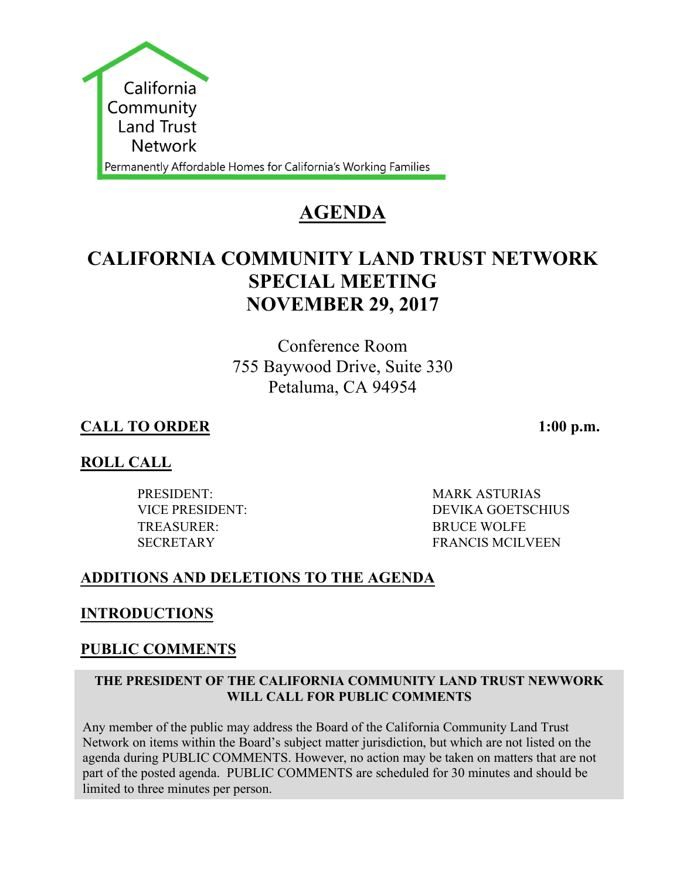

# **AGENDA**

# **CALIFORNIA COMMUNITY LAND TRUST NETWORK SPECIAL MEETING NOVEMBER 29, 2017**

Conference Room 755 Baywood Drive, Suite 330 Petaluma, CA 94954

# **CALL TO ORDER 1:00 p.m.**

# **ROLL CALL**

PRESIDENT: MARK ASTURIAS TREASURER: BRUCE WOLFE

VICE PRESIDENT: DEVIKA GOETSCHIUS SECRETARY FRANCIS MCILVEEN

# **ADDITIONS AND DELETIONS TO THE AGENDA**

# **INTRODUCTIONS**

# **PUBLIC COMMENTS**

### **THE PRESIDENT OF THE CALIFORNIA COMMUNITY LAND TRUST NEWWORK WILL CALL FOR PUBLIC COMMENTS**

Any member of the public may address the Board of the California Community Land Trust Network on items within the Board's subject matter jurisdiction, but which are not listed on the agenda during PUBLIC COMMENTS. However, no action may be taken on matters that are not part of the posted agenda. PUBLIC COMMENTS are scheduled for 30 minutes and should be limited to three minutes per person.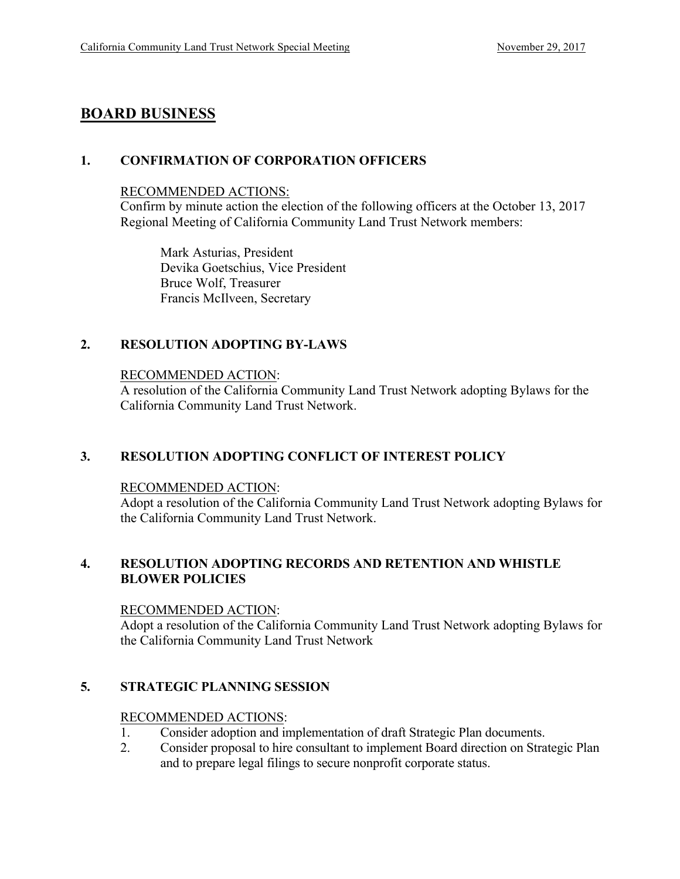## **BOARD BUSINESS**

### **1. CONFIRMATION OF CORPORATION OFFICERS**

#### RECOMMENDED ACTIONS:

Confirm by minute action the election of the following officers at the October 13, 2017 Regional Meeting of California Community Land Trust Network members:

Mark Asturias, President Devika Goetschius, Vice President Bruce Wolf, Treasurer Francis McIlveen, Secretary

### **2. RESOLUTION ADOPTING BY-LAWS**

#### RECOMMENDED ACTION:

A resolution of the California Community Land Trust Network adopting Bylaws for the California Community Land Trust Network.

### **3. RESOLUTION ADOPTING CONFLICT OF INTEREST POLICY**

#### RECOMMENDED ACTION:

Adopt a resolution of the California Community Land Trust Network adopting Bylaws for the California Community Land Trust Network.

#### **4. RESOLUTION ADOPTING RECORDS AND RETENTION AND WHISTLE BLOWER POLICIES**

#### RECOMMENDED ACTION:

Adopt a resolution of the California Community Land Trust Network adopting Bylaws for the California Community Land Trust Network

### **5. STRATEGIC PLANNING SESSION**

#### RECOMMENDED ACTIONS:

- 1. Consider adoption and implementation of draft Strategic Plan documents.
- 2. Consider proposal to hire consultant to implement Board direction on Strategic Plan and to prepare legal filings to secure nonprofit corporate status.